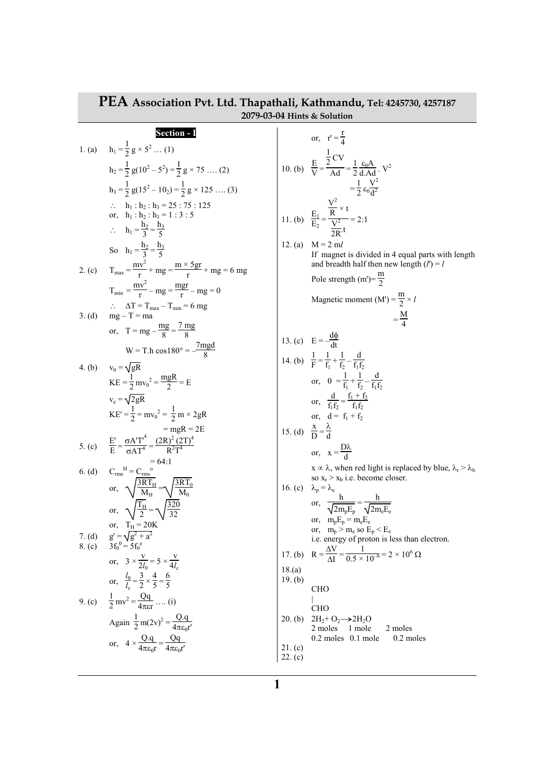|                  | T EA Association FVt. Etg. Thapathall, Nathmangu, Tel: 4245/30, 425/187<br>2079-03-04 Hints & Solution             |                    |                                                                                                                       |
|------------------|--------------------------------------------------------------------------------------------------------------------|--------------------|-----------------------------------------------------------------------------------------------------------------------|
|                  | <b>Section - I</b>                                                                                                 |                    | or, $r' = \frac{1}{4}$                                                                                                |
| 1. (a)           | $h_1 = \frac{1}{2} g \times 5^2  (1)$                                                                              |                    | 10. (b) $\frac{E}{V} = \frac{\frac{1}{2}CV}{\Delta d} = \frac{1}{2} \frac{\epsilon_0 A}{d \Delta d}$ . V <sup>2</sup> |
|                  | $h_2 = \frac{1}{2} g(10^2 - 5^2) = \frac{1}{2} g \times 75 \dots (2)$                                              |                    |                                                                                                                       |
|                  | $h_3 = \frac{1}{2} g(15^2 - 10_2) = \frac{1}{2} g \times 125 \dots (3)$                                            |                    | $=\frac{1}{2}\epsilon_0 \frac{V^2}{d^2}$                                                                              |
|                  | $\therefore$ h <sub>1</sub> : h <sub>2</sub> : h <sub>3</sub> = 25 : 75 : 125<br>or, $h_1 : h_2 : h_3 = 1 : 3 : 5$ |                    | 11. (b) $\frac{E_1}{E_2} = \frac{\frac{V^2}{R} \times t}{\frac{V^2}{R}} = 2:1$                                        |
|                  | $\therefore h_1 = \frac{h_2}{2} = \frac{h_3}{5}$                                                                   |                    |                                                                                                                       |
|                  | So $h_1 = \frac{h_2}{2} = \frac{h_3}{5}$                                                                           | 12. (a)            | $M = 2 ml$                                                                                                            |
| 2. (c)           | $T_{\text{max}} = \frac{mv^2}{r} + mg = \frac{m \times 5gr}{r} + mg = 6 mg$                                        |                    | If magnet is divided in 4 equal parts with length<br>and breadth half then new length $(l') = l$                      |
|                  | $T_{min} = \frac{mv^2}{r} - mg = \frac{mgr}{r} - mg = 0$                                                           |                    | Pole strength (m')= $\frac{m}{2}$                                                                                     |
|                  | $\therefore$ $\Delta T = T_{\text{max}} - T_{\text{min}} = 6$ mg                                                   |                    | Magnetic moment (M') = $\frac{\text{m}}{2} \times l$                                                                  |
| 3. (d)           | $mg - T = ma$                                                                                                      |                    | $=\frac{M}{4}$                                                                                                        |
|                  | or, $T = mg - \frac{mg}{g} = \frac{7 mg}{g}$                                                                       |                    | 13. (c) $E = -\frac{d\phi}{dt}$                                                                                       |
|                  | $W = T.h \cos 180^\circ = -\frac{7mgd}{g}$                                                                         |                    | 14. (b) $\frac{1}{F} = \frac{1}{f_1} + \frac{1}{f_2} - \frac{d}{f_1 f_2}$                                             |
| 4. $(b)$         | $v_0 = \sqrt{gR}$<br>$KE = \frac{1}{2} mv_0^2 = \frac{mgR}{2} = E$                                                 |                    | or, $0 = \frac{1}{f_1} + \frac{1}{f_2} - \frac{d}{f_1f_2}$                                                            |
|                  | $v_e = \sqrt{2gR}$                                                                                                 |                    | or, $\frac{d}{f_1f_2} = \frac{f_1 + f_2}{f_1f_2}$                                                                     |
|                  | $KE' = \frac{1}{2} = mv_0^2 = \frac{1}{2} m \times 2 gR$                                                           |                    | or, $d = f_1 + f_2$                                                                                                   |
|                  | $=$ mgR = 2E                                                                                                       |                    | 15. (d) $\frac{x}{D} = \frac{\lambda}{A}$                                                                             |
|                  | 5. (c) $\frac{E'}{E} = \frac{\sigma A'T'^4}{2A T^4} = \frac{(2R)^2 (2T)^4}{R^2 T^4}$                               |                    | or, $x = \frac{D\lambda}{d}$                                                                                          |
|                  | $= 64:1$                                                                                                           |                    | $x \propto \lambda$ , when red light is replaced by blue, $\lambda_r > \lambda_b$                                     |
|                  | 6. (d) $C_{rms}^H = C_{rms}^{\circ}$<br>or, $\sqrt{\frac{3RT_H}{M_H}} = \sqrt{\frac{3RT_0}{M_0}}$                  |                    | so $x_r > x_b$ i.e. become closer.<br>16. (c) $\lambda_p = \lambda_e$                                                 |
|                  | or, $\sqrt{\frac{T_{\rm H}}{2}} = \sqrt{\frac{320}{32}}$                                                           |                    | or, $\frac{h}{\sqrt{2m_{\rm e}E_{\rm e}}} = \frac{h}{\sqrt{2m_{\rm e}E_{\rm e}}}$                                     |
|                  | or, $T_H = 20K$                                                                                                    |                    | or, $m_p E_p = m_e E_e$<br>or, $m_p > m_e$ so $E_p < E_e$                                                             |
| 7. (d)<br>8. (c) | $g' = \sqrt{g^2 + a^2}$<br>$3f_0^0 = 5f_0^e$                                                                       |                    | i.e. energy of proton is less than electron.                                                                          |
|                  | or, $3 \times \frac{V}{2l_0} = 5 \times \frac{V}{4l_0}$                                                            |                    | 17. (b) $R = \frac{\Delta V}{\Delta I} = \frac{1}{0.5 \times 10^{-6}} = 2 \times 10^6 \Omega$                         |
|                  | or, $\frac{l_0}{l_0} = \frac{3}{2} \times \frac{4}{5} = \frac{6}{5}$                                               | 18.(a)<br>19. (b)  |                                                                                                                       |
|                  | 9. (c) $\frac{1}{2}mv^2 = \frac{Qq}{4\pi\epsilon r}$ (i)                                                           |                    | <b>CHO</b>                                                                                                            |
|                  | Again $\frac{1}{2}$ m(2v) <sup>2</sup> = $\frac{Q.q}{4\pi\epsilon_0 r'}$                                           | $20.$ (b)          | <b>CHO</b><br>$2H_2 + O_2 \rightarrow 2H_2O$                                                                          |
|                  |                                                                                                                    |                    | 2 moles 1 mole<br>2 moles<br>$0.2$ moles $0.1$ mole<br>0.2 moles                                                      |
|                  | or, $4 \times \frac{Q.q}{4\pi \epsilon_0 r} = \frac{Qq}{4\pi \epsilon_0 r'}$                                       | 21. (c)<br>22. (c) |                                                                                                                       |
|                  |                                                                                                                    |                    |                                                                                                                       |

## **PEA Association Pvt. Ltd. Thapathali, Kathmandu, Tel: 4245730, 4257187**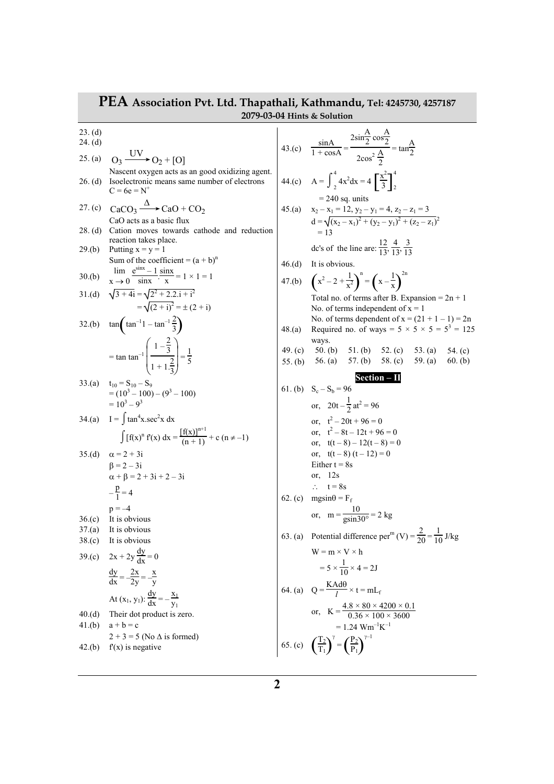## **PEA Association Pvt. Ltd. Thapathali, Kathmandu, Tel: 4245730, 4257187 2079-03-04 Hints & Solution**

23. (d) 24. (d) 25. (a) Nascent oxygen acts as an good oxidizing agent. 26. (d) Isoelectronic means same number of electrons  $C = 6e = N^+$ 27. (c)  $CaCO_3 \xrightarrow{\Delta} CaO + CO_2$ CaO acts as a basic flux 28. (d) Cation moves towards cathode and reduction reaction takes place. 29.(b) Putting  $x = y = 1$ Sum of the coefficient =  $(a + b)^n$  $30.(b)$   $\lim_{x \to 0}$  $x \rightarrow 0$  $\frac{e^{\sin x} - 1}{\sin x} \cdot \frac{\sin x}{x}$  $\frac{d^{2}x}{dx} = 1 \times 1 = 1$ 31.(d)  $\sqrt{3+4i} = \sqrt{2^2+2.2.i + i^2}$  $=\sqrt{(2 + i)^2} = \pm (2 + i)$ 32.(b)  $\tan \left( \tan^{-1} 1 - \tan^{-1} \frac{2}{3} \right)$  $=$  tan tan<sup>-1</sup>  $\setminus$  $\mathsf{I}$ I. ſ J  $\cdot$  $\left(1-\frac{2}{3}\right)$ 3  $1 + 1.\frac{2}{3}$ 3  $=\frac{1}{5}$ 5 33.(a)  $t_{10} = S_{10} - S_9$  $= (10^3 - 100) - (9^3 - 100)$  $= 10^3 - 9^3$ 34.(a)  $I = \int \tan^4 x \sec^2 x \ dx$  $\int [f(x)]^n f(x) dx = \frac{[f(x)]^{n+1}}{(n+1)} + c (n \neq -1)$ 35.(d)  $\alpha = 2 + 3i$  $\beta = 2 - 3i$  $\alpha + \beta = 2 + 3i + 2 - 3i$  $-\frac{p}{1}$  $\frac{p}{1} = 4$  $p = -4$ 36.(c) It is obvious 37.(a) It is obvious 38.(c) It is obvious 39.(c)  $2x + 2y \frac{dy}{dx} = 0$  $\frac{dy}{dx} = -\frac{2x}{2y} = -\frac{x}{y}$ y At  $(x_1, y_1)$ :  $\frac{dy}{dx} = -\frac{x_1}{y_1}$  $y_1$ 40.(d) Their dot product is zero. 41.(b)  $a + b = c$  $2 + 3 = 5$  (No  $\triangle$  is formed) 42.(b)  $f'(x)$  is negative  $O_3 \xrightarrow{\text{UV}} O_2 + [O]$ 

43.(c) 
$$
\frac{\sin A}{1 + \cos A} = \frac{2 \sin \frac{A}{2} \cos \frac{A}{2}}{2 \cos^2 \frac{A}{2}} = \tan \frac{A}{2}
$$
  
\n44.(c) 
$$
A = \int_{2}^{4} 4x^2 dx = 4 \left[ \frac{x^2}{3} \right]_{2}^{4}
$$
  
\n= 240 sq. units  
\n45.(a) 
$$
x_2 - x_1 = 12, y_2 - y_1 = 4, z_2 - z_1 = 3
$$
  
\n
$$
d = \sqrt{(x_2 - x_1)^2 + (y_2 - y_1)^2 + (z_2 - z_1)^2}
$$
  
\n= 13  
\ndc's of the line are: 
$$
\frac{12}{13}, \frac{4}{13}, \frac{3}{13}
$$
  
\n46.(d) It is obvious.  
\n47.(b) 
$$
\left(x^2 - 2 + \frac{1}{x^2}\right)^n = \left(x - \frac{1}{x}\right)^{2n}
$$
  
\nTotal no. of terms dependent of  $x = 1$   
\nNo. of terms dependent of  $x = 1$   
\nNo. of terms dependent of  $x = (21 + 1 - 1) = 2n$   
\n48.(a) Required no. of ways =  $5 \times 5 \times 5 = 5^3 = 125$   
\nways.  
\n49.(c) 50.(b) 51.(b) 52.(c) 53.(a) 54.(c)  
\n55.(b) 56.(a) 57.(b) 58.(c) 59.(a) 60.(b)  
\nSection - 11  
\n61.(b)  $S_c - S_b = 96$   
\nor,  $t^2 - 20t + 96 = 0$   
\nor,  $t^2 - 8 - 12t + 96 = 0$   
\nor,  $t^2 - 8 - 12t + 96 = 0$   
\nor,  $t^2 - 8 - 12t + 96 = 0$   
\nor,  $t^2 - 8 - 12t - 8 = 0$   
\nor,  $t^2 - 8t - 12t - 8 = 0$   
\nor,  $t^2 - 8t - 12t - 8 = 0$   
\nor,  $t^2 - 8t -$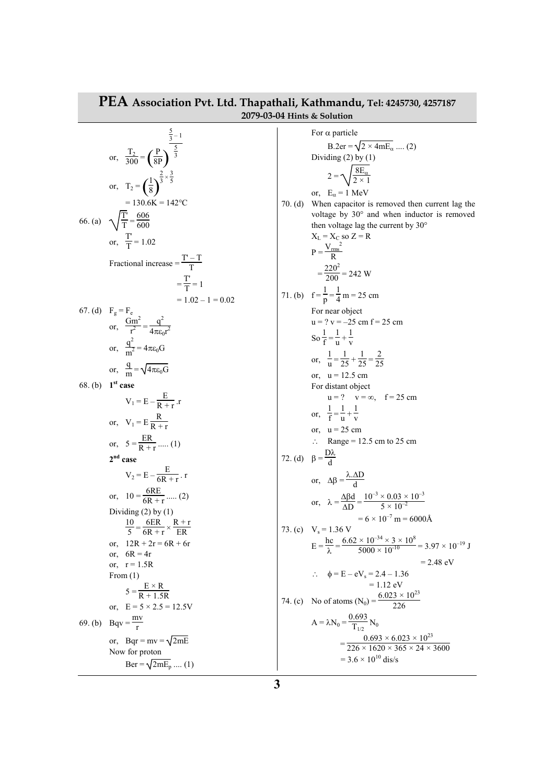| <b>FEA Association Pvt. Ltd. Thapathali, Kathmandu, Tel: 4245730, 4257187</b><br>2079-03-04 Hints & Solution |                                                                                                                                                                                                                   |  |                                                                                                                                                                                                                                                                                                                                                     |  |
|--------------------------------------------------------------------------------------------------------------|-------------------------------------------------------------------------------------------------------------------------------------------------------------------------------------------------------------------|--|-----------------------------------------------------------------------------------------------------------------------------------------------------------------------------------------------------------------------------------------------------------------------------------------------------------------------------------------------------|--|
|                                                                                                              | or, $rac{T_2}{300} = \left(\frac{P}{8P}\right)^{\frac{5}{3}-1}$<br>or, $T_2 = \left(\frac{1}{8}\right)^{\frac{2}{3} \times \frac{3}{5}}$<br>$= 130.6K = 142$ °C<br>66. (a) $\sqrt{\frac{T}{T}} = \frac{606}{600}$ |  | For $\alpha$ particle<br>$B.2er = \sqrt{2 \times 4mE_{\alpha}}$ (2)<br>Dividing $(2)$ by $(1)$<br>$2 = \sqrt{\frac{8E_{\alpha}}{2 \times 1}}$<br>or, $E_{\alpha} = 1$ MeV<br>70. (d) When capacitor is removed then current lag the<br>voltage by 30° and when inductor is removed<br>then voltage lag the current by 30°<br>$X_L = X_C$ so $Z = R$ |  |
|                                                                                                              | or, $\frac{T}{T} = 1.02$<br>Fractional increase = $\frac{1 - 1}{T}$<br>$=\frac{T}{T}=1$<br>$= 1.02 - 1 = 0.02$                                                                                                    |  | $P = \frac{V_{rms}^2}{D}$<br>$=\frac{220^2}{200}$ = 242 W<br>71. (b) $f = \frac{1}{p} = \frac{1}{4} m = 25 cm$                                                                                                                                                                                                                                      |  |
|                                                                                                              | 67. (d) $F_g = F_e$<br>or, $\frac{Gm^2}{r^2} = \frac{q^2}{4\pi \epsilon_0 r^2}$<br>or, $\frac{q^2}{m^2} = 4\pi \epsilon_0 G$<br>or, $\frac{q}{m} = \sqrt{4\pi \epsilon_0 G}$                                      |  | For near object<br>$u = ? v = -25 cm f = 25 cm$<br>So $\frac{1}{f} = \frac{1}{v} + \frac{1}{v}$<br>or, $\frac{1}{1!} = \frac{1}{25} + \frac{1}{25} = \frac{2}{25}$<br>or, $u = 12.5$ cm                                                                                                                                                             |  |
|                                                                                                              | 68. (b) 1 <sup>st</sup> case<br>$V_1 = E - \frac{E}{R + r}$ .<br>or, $V_1 = E \frac{R}{R+r}$<br>or, $5 = \frac{ER}{R + r}$ (1)                                                                                    |  | For distant object<br>$u = ?$ $v = \infty$ , $f = 25$ cm<br>or, $\frac{1}{f} = \frac{1}{v} + \frac{1}{v}$<br>or, $u = 25$ cm<br>$\therefore$ Range = 12.5 cm to 25 cm                                                                                                                                                                               |  |
|                                                                                                              | $2nd$ case<br>$V_2 = E - \frac{E}{6R + r}$ . r<br>or, $10 = \frac{6RE}{6R + r}$ (2)<br>Dividing $(2)$ by $(1)$                                                                                                    |  | 72. (d) $\beta = \frac{DX}{A}$<br>or, $\Delta \beta = \frac{\lambda \Delta D}{d}$<br>or, $\lambda = \frac{\Delta \beta d}{\Delta D} = \frac{10^{-3} \times 0.03 \times 10^{-3}}{5 \times 10^{-2}}$<br>$= 6 \times 10^{-7}$ m = 6000Å                                                                                                                |  |
|                                                                                                              | $\frac{10}{5} = \frac{6ER}{6R + r} \times \frac{R + r}{ER}$<br>$12R + 2r = 6R + 6r$<br>or.<br>or, $6R = 4r$<br>or, $r = 1.5R$<br>From $(1)$<br>$5 = \frac{E \times R}{R + 1.5R}$                                  |  | 73. (c) $V_s = 1.36 V$<br>$E = \frac{hc}{\lambda} = \frac{6.62 \times 10^{-34} \times 3 \times 10^8}{5000 \times 10^{-10}} = 3.97 \times 10^{-19} J$<br>$= 2.48$ eV<br>$\phi = E - eV_s = 2.4 - 1.36$<br>= 1.12 eV<br>74. (c) No of atoms (N <sub>0</sub> ) = $\frac{6.023 \times 10^{23}}{226}$                                                    |  |
|                                                                                                              | or, $E = 5 \times 2.5 = 12.5V$<br>69. (b) Bqv = $\frac{mv}{r}$<br>or, Bqr = mv = $\sqrt{2mE}$<br>Now for proton<br>Ber = $\sqrt{2mE_p}$ (1)                                                                       |  | $A = \lambda N_0 = \frac{0.693}{T_{1/2}} N_0$<br>$=\frac{0.693\times6.023\times10^{23}}{226\times1620\times365\times24\times3600}$<br>$=$ 3.6 $\times$ 10 <sup>10</sup> dis/s                                                                                                                                                                       |  |

## **PEA Association Pvt. Ltd. Thapathali, Kathmandu, Tel: 4245730, 4257187**